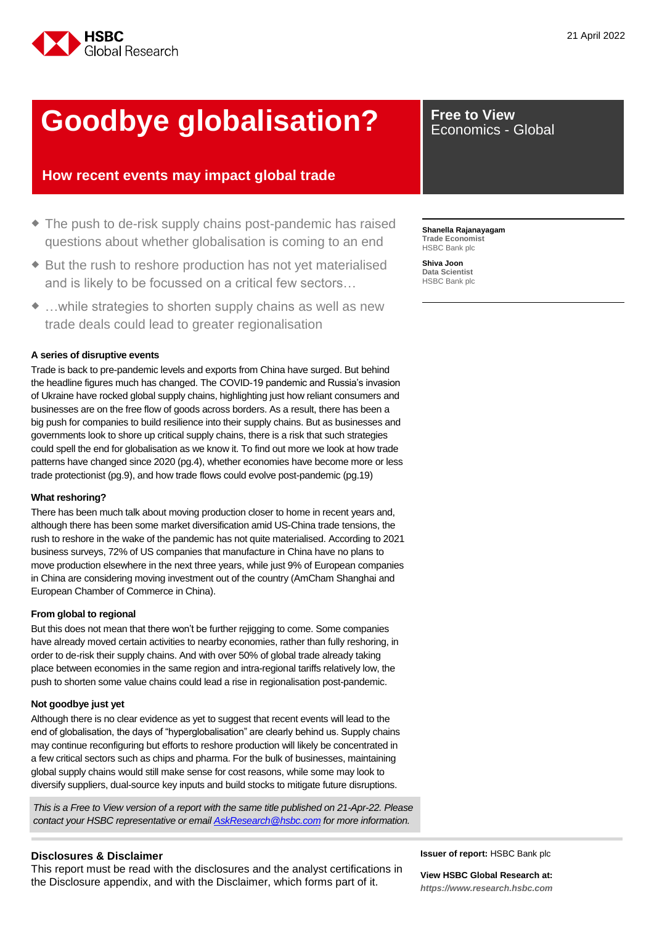

# **Goodbye globalisation?** Free to View

# **How recent events may impact global trade**

- The push to de-risk supply chains post-pandemic has raised questions about whether globalisation is coming to an end
- ◆ But the rush to reshore production has not yet materialised and is likely to be focussed on a critical few sectors…
- …while strategies to shorten supply chains as well as new trade deals could lead to greater regionalisation

#### **A series of disruptive events**

Trade is back to pre-pandemic levels and exports from China have surged. But behind the headline figures much has changed. The COVID-19 pandemic and Russia's invasion of Ukraine have rocked global supply chains, highlighting just how reliant consumers and businesses are on the free flow of goods across borders. As a result, there has been a big push for companies to build resilience into their supply chains. But as businesses and governments look to shore up critical supply chains, there is a risk that such strategies could spell the end for globalisation as we know it. To find out more we look at how trade patterns have changed since 2020 (pg.4), whether economies have become more or less trade protectionist (pg.9), and how trade flows could evolve post-pandemic (pg.19)

#### **What reshoring?**

There has been much talk about moving production closer to home in recent years and, although there has been some market diversification amid US-China trade tensions, the rush to reshore in the wake of the pandemic has not quite materialised. According to 2021 business surveys, 72% of US companies that manufacture in China have no plans to move production elsewhere in the next three years, while just 9% of European companies in China are considering moving investment out of the country (AmCham Shanghai and European Chamber of Commerce in China).

#### **From global to regional**

But this does not mean that there won't be further rejigging to come. Some companies have already moved certain activities to nearby economies, rather than fully reshoring, in order to de-risk their supply chains. And with over 50% of global trade already taking place between economies in the same region and intra-regional tariffs relatively low, the push to shorten some value chains could lead a rise in regionalisation post-pandemic.

#### **Not goodbye just yet**

Although there is no clear evidence as yet to suggest that recent events will lead to the end of globalisation, the days of "hyperglobalisation" are clearly behind us. Supply chains may continue reconfiguring but efforts to reshore production will likely be concentrated in a few critical sectors such as chips and pharma. For the bulk of businesses, maintaining global supply chains would still make sense for cost reasons, while some may look to diversify suppliers, dual-source key inputs and build stocks to mitigate future disruptions.

*This is a Free to View version of a report with the same title published on 21-Apr-22. Please contact your HSBC representative or email [AskResearch@hsbc.com](mailto:AskResearch@hsbc.com) for more information.*

#### **Disclosures & Disclaimer**

This report must be read with the disclosures and the analyst certifications in the Disclosure appendix, and with the Disclaimer, which forms part of it.

Economics - Global

**Shanella Rajanayagam Trade Economist** HSBC Bank plc

**Shiva Joon Data Scientist** HSBC Bank plc

**Issuer of report:** HSBC Bank plc

**View HSBC Global Research at:** *[https://www.research.hsbc.com](https://www.research.hsbc.com/)*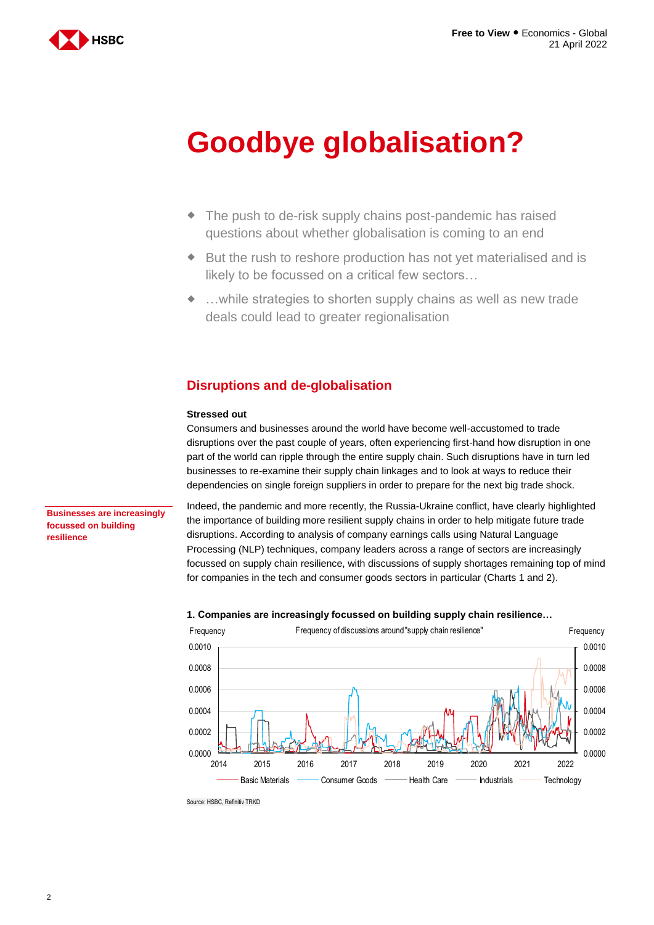

# **Goodbye globalisation?**

- The push to de-risk supply chains post-pandemic has raised questions about whether globalisation is coming to an end
- But the rush to reshore production has not yet materialised and is likely to be focussed on a critical few sectors…
- …while strategies to shorten supply chains as well as new trade deals could lead to greater regionalisation

# **Disruptions and de-globalisation**

#### **Stressed out**

Consumers and businesses around the world have become well-accustomed to trade disruptions over the past couple of years, often experiencing first-hand how disruption in one part of the world can ripple through the entire supply chain. Such disruptions have in turn led businesses to re-examine their supply chain linkages and to look at ways to reduce their dependencies on single foreign suppliers in order to prepare for the next big trade shock.

**Businesses are increasingly focussed on building resilience**

Indeed, the pandemic and more recently, the Russia-Ukraine conflict, have clearly highlighted the importance of building more resilient supply chains in order to help mitigate future trade disruptions. According to analysis of company earnings calls using Natural Language Processing (NLP) techniques, company leaders across a range of sectors are increasingly focussed on supply chain resilience, with discussions of supply shortages remaining top of mind for companies in the tech and consumer goods sectors in particular (Charts 1 and 2).



#### **1. Companies are increasingly focussed on building supply chain resilience…**

Source: HSBC, Refinitiv TRKD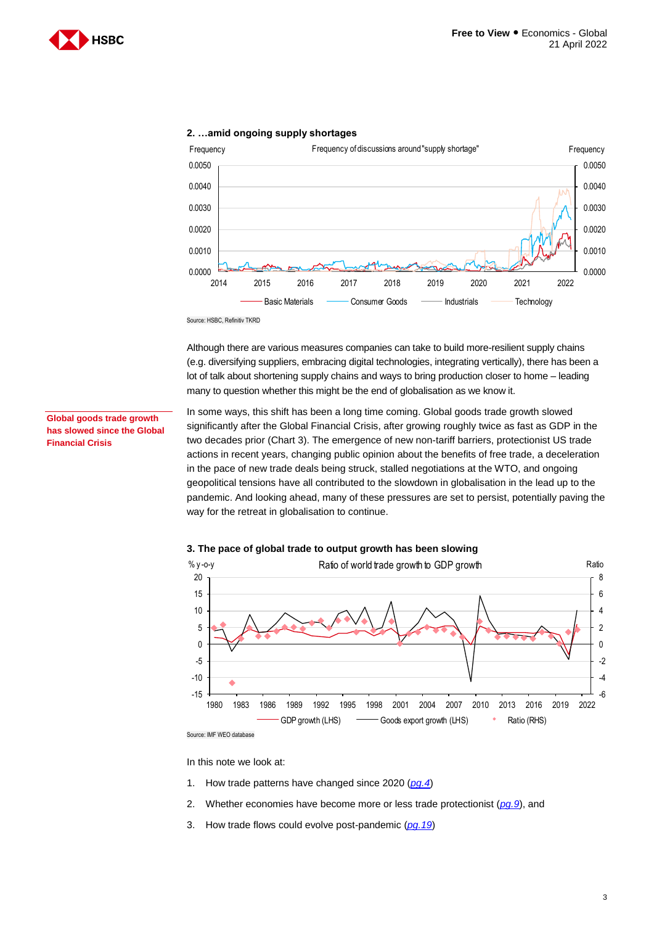



#### **2. …amid ongoing supply shortages**

Source: HSBC, Refinitiv TKRD

Although there are various measures companies can take to build more-resilient supply chains (e.g. diversifying suppliers, embracing digital technologies, integrating vertically), there has been a lot of talk about shortening supply chains and ways to bring production closer to home – leading many to question whether this might be the end of globalisation as we know it.

**Global goods trade growth has slowed since the Global Financial Crisis**

In some ways, this shift has been a long time coming. Global goods trade growth slowed significantly after the Global Financial Crisis, after growing roughly twice as fast as GDP in the two decades prior (Chart 3). The emergence of new non-tariff barriers, protectionist US trade actions in recent years, changing public opinion about the benefits of free trade, a deceleration in the pace of new trade deals being struck, stalled negotiations at the WTO, and ongoing geopolitical tensions have all contributed to the slowdown in globalisation in the lead up to the pandemic. And looking ahead, many of these pressures are set to persist, potentially paving the way for the retreat in globalisation to continue.





Source: IMF WEO database

In this note we look at:

- 1. How trade patterns have changed since 2020 (*[pg.4](#page-3-0)*)
- 2. Whether economies have become more or less trade protectionist (*[pg.9](#page-8-0)*), and
- 3. How trade flows could evolve post-pandemic (*[pg.19](#page-18-0)*)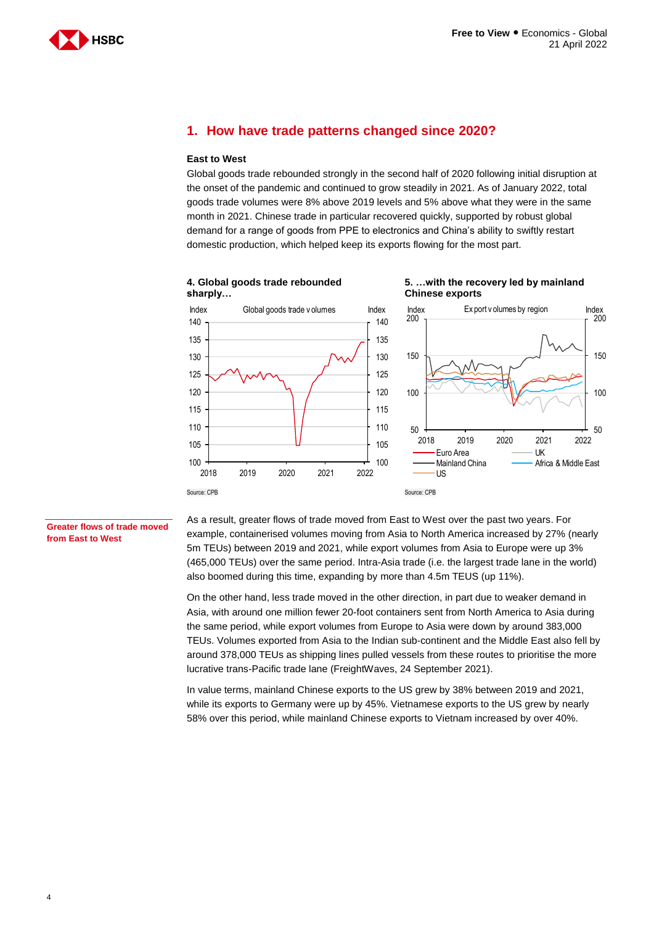

# <span id="page-3-0"></span>**1. How have trade patterns changed since 2020?**

#### **East to West**

Global goods trade rebounded strongly in the second half of 2020 following initial disruption at the onset of the pandemic and continued to grow steadily in 2021. As of January 2022, total goods trade volumes were 8% above 2019 levels and 5% above what they were in the same month in 2021. Chinese trade in particular recovered quickly, supported by robust global demand for a range of goods from PPE to electronics and China's ability to swiftly restart domestic production, which helped keep its exports flowing for the most part.

**4. Global goods trade rebounded sharply…**





#### **Greater flows of trade moved from East to West**

As a result, greater flows of trade moved from East to West over the past two years. For example, containerised volumes moving from Asia to North America increased by 27% (nearly 5m TEUs) between 2019 and 2021, while export volumes from Asia to Europe were up 3% (465,000 TEUs) over the same period. Intra-Asia trade (i.e. the largest trade lane in the world) also boomed during this time, expanding by more than 4.5m TEUS (up 11%).

On the other hand, less trade moved in the other direction, in part due to weaker demand in Asia, with around one million fewer 20-foot containers sent from North America to Asia during the same period, while export volumes from Europe to Asia were down by around 383,000 TEUs. Volumes exported from Asia to the Indian sub-continent and the Middle East also fell by around 378,000 TEUs as shipping lines pulled vessels from these routes to prioritise the more lucrative trans-Pacific trade lane (FreightWaves, 24 September 2021).

In value terms, mainland Chinese exports to the US grew by 38% between 2019 and 2021, while its exports to Germany were up by 45%. Vietnamese exports to the US grew by nearly 58% over this period, while mainland Chinese exports to Vietnam increased by over 40%.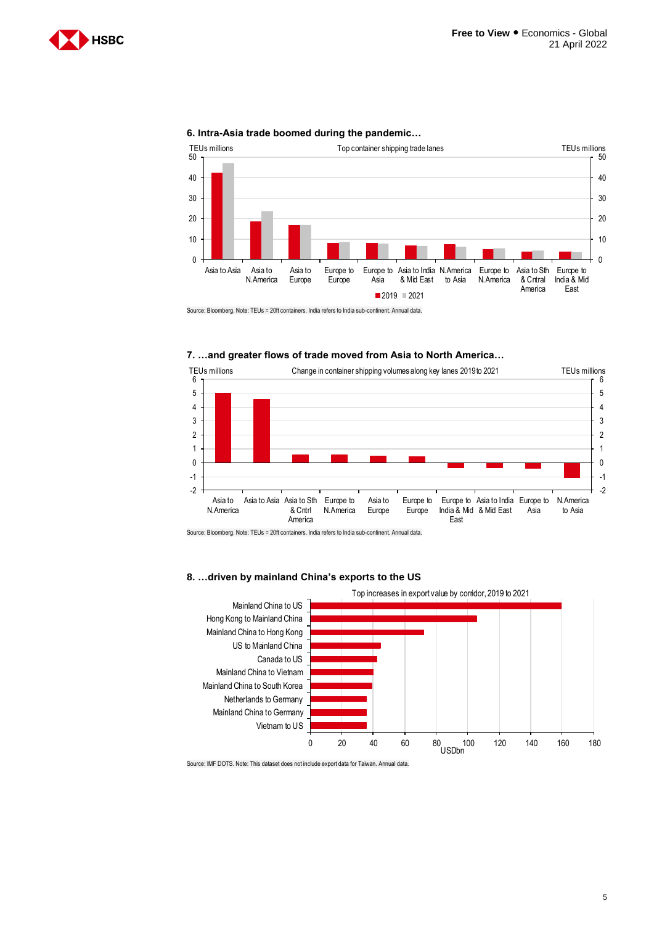



#### **6. Intra-Asia trade boomed during the pandemic…**

Source: Bloomberg. Note: TEUs = 20ft containers. India refers to India sub-continent. Annual data.

#### **7. …and greater flows of trade moved from Asia to North America…**



Source: Bloomberg. Note: TEUs = 20ft containers. India refers to India sub-continent. Annual data.

#### **8. …driven by mainland China's exports to the US**



Source: IMF DOTS. Note: This dataset does not include export data for Taiwan. Annual data.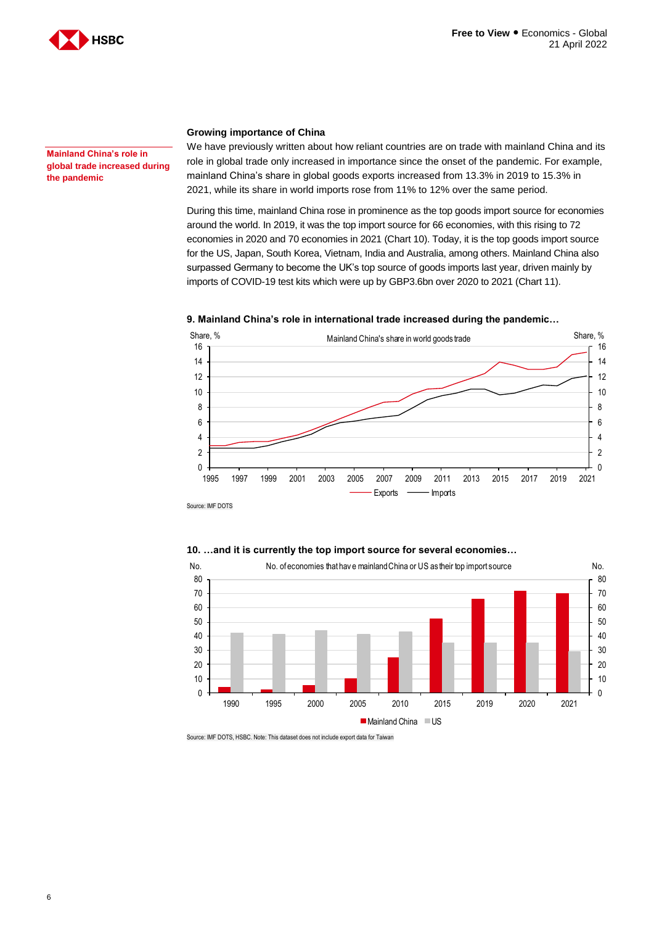

**Mainland China's role in global trade increased during the pandemic**

#### **Growing importance of China**

We have previously written about how reliant countries are on trade with mainland China and its role in global trade only increased in importance since the onset of the pandemic. For example, mainland China's share in global goods exports increased from 13.3% in 2019 to 15.3% in 2021, while its share in world imports rose from 11% to 12% over the same period.

During this time, mainland China rose in prominence as the top goods import source for economies around the world. In 2019, it was the top import source for 66 economies, with this rising to 72 economies in 2020 and 70 economies in 2021 (Chart 10). Today, it is the top goods import source for the US, Japan, South Korea, Vietnam, India and Australia, among others. Mainland China also surpassed Germany to become the UK's top source of goods imports last year, driven mainly by imports of COVID-19 test kits which were up by GBP3.6bn over 2020 to 2021 (Chart 11).

#### **9. Mainland China's role in international trade increased during the pandemic…**



Source: IMF DOTS

#### **10. …and it is currently the top import source for several economies…**



Source: IMF DOTS, HSBC. Note: This dataset does not include export data for Taiwan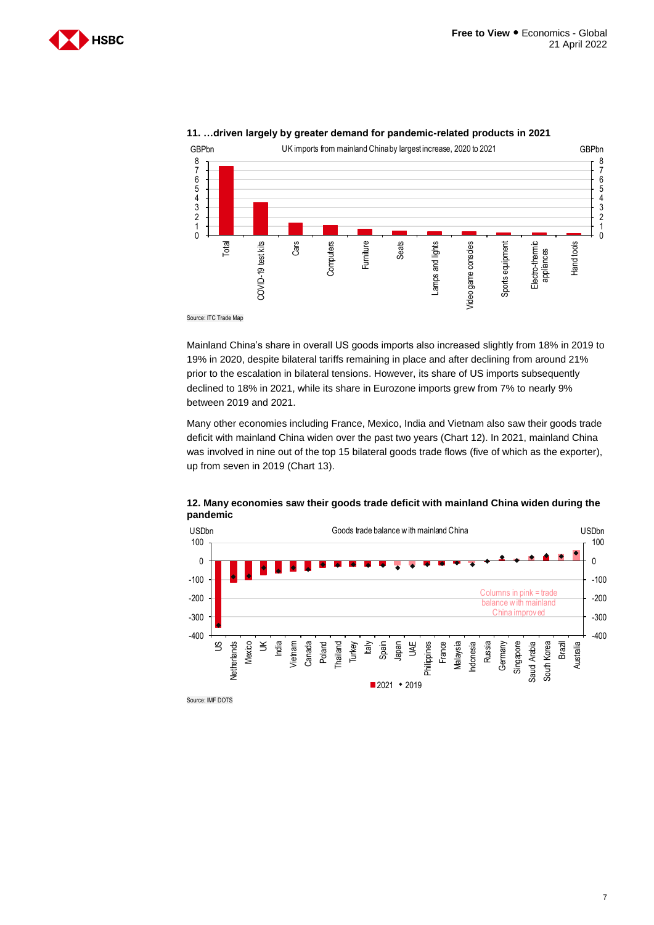



#### **11. …driven largely by greater demand for pandemic-related products in 2021**

Source: ITC Trade Map

Mainland China's share in overall US goods imports also increased slightly from 18% in 2019 to 19% in 2020, despite bilateral tariffs remaining in place and after declining from around 21% prior to the escalation in bilateral tensions. However, its share of US imports subsequently declined to 18% in 2021, while its share in Eurozone imports grew from 7% to nearly 9% between 2019 and 2021.

Many other economies including France, Mexico, India and Vietnam also saw their goods trade deficit with mainland China widen over the past two years (Chart 12). In 2021, mainland China was involved in nine out of the top 15 bilateral goods trade flows (five of which as the exporter), up from seven in 2019 (Chart 13).



**12. Many economies saw their goods trade deficit with mainland China widen during the<br>
pandemic<br>
USDbn Goods trade balance w ith mainland China<br>
100<br>
100 pandemic**

Source: IMF DOTS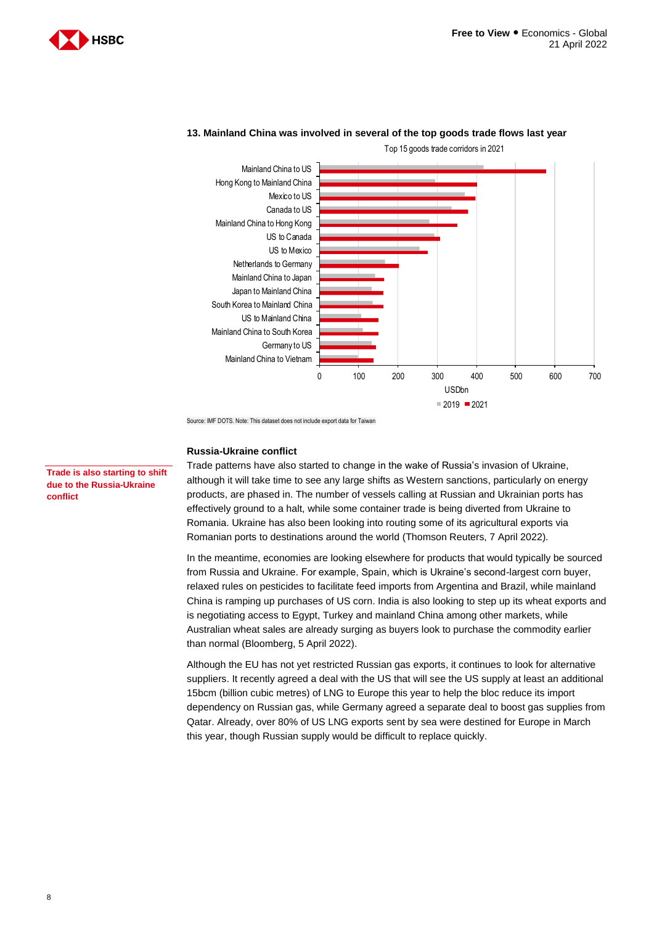



#### **13. Mainland China was involved in several of the top goods trade flows last year**

Top 15 goods trade corridors in 2021

Source: IMF DOTS. Note: This dataset does not include export data for Taiwan

#### **Russia-Ukraine conflict**

Trade patterns have also started to change in the wake of Russia's invasion of Ukraine, although it will take time to see any large shifts as Western sanctions, particularly on energy products, are phased in. The number of vessels calling at Russian and Ukrainian ports has effectively ground to a halt, while some container trade is being diverted from Ukraine to Romania. Ukraine has also been looking into routing some of its agricultural exports via Romanian ports to destinations around the world (Thomson Reuters, 7 April 2022).

In the meantime, economies are looking elsewhere for products that would typically be sourced from Russia and Ukraine. For example, Spain, which is Ukraine's second-largest corn buyer, relaxed rules on pesticides to facilitate feed imports from Argentina and Brazil, while mainland China is ramping up purchases of US corn. India is also looking to step up its wheat exports and is negotiating access to Egypt, Turkey and mainland China among other markets, while Australian wheat sales are already surging as buyers look to purchase the commodity earlier than normal (Bloomberg, 5 April 2022).

Although the EU has not yet restricted Russian gas exports, it continues to look for alternative suppliers. It recently agreed a deal with the US that will see the US supply at least an additional 15bcm (billion cubic metres) of LNG to Europe this year to help the bloc reduce its import dependency on Russian gas, while Germany agreed a separate deal to boost gas supplies from Qatar. Already, over 80% of US LNG exports sent by sea were destined for Europe in March this year, though Russian supply would be difficult to replace quickly.

**Trade is also starting to shift due to the Russia-Ukraine conflict**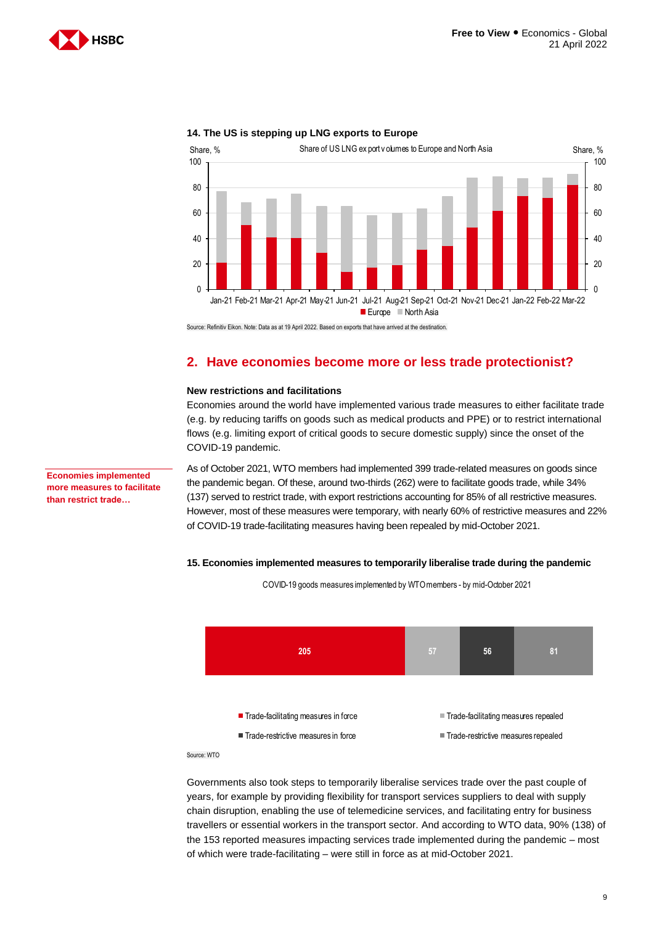



### **14. The US is stepping up LNG exports to Europe**

<span id="page-8-0"></span>Source: Refinitiv Eikon. Note: Data as at 19 April 2022. Based on exports that have arrived at the destination.

# **2. Have economies become more or less trade protectionist?**

### **New restrictions and facilitations**

Economies around the world have implemented various trade measures to either facilitate trade (e.g. by reducing tariffs on goods such as medical products and PPE) or to restrict international flows (e.g. limiting export of critical goods to secure domestic supply) since the onset of the COVID-19 pandemic.

**Economies implemented more measures to facilitate than restrict trade…**

As of October 2021, WTO members had implemented 399 trade-related measures on goods since the pandemic began. Of these, around two-thirds (262) were to facilitate goods trade, while 34% (137) served to restrict trade, with export restrictions accounting for 85% of all restrictive measures. However, most of these measures were temporary, with nearly 60% of restrictive measures and 22% of COVID-19 trade-facilitating measures having been repealed by mid-October 2021.

#### **15. Economies implemented measures to temporarily liberalise trade during the pandemic**



COVID-19 goods measures implemented by WTO members - by mid-October 2021

Source: WTO

Governments also took steps to temporarily liberalise services trade over the past couple of years, for example by providing flexibility for transport services suppliers to deal with supply chain disruption, enabling the use of telemedicine services, and facilitating entry for business travellers or essential workers in the transport sector. And according to WTO data, 90% (138) of the 153 reported measures impacting services trade implemented during the pandemic – most of which were trade-facilitating – were still in force as at mid-October 2021.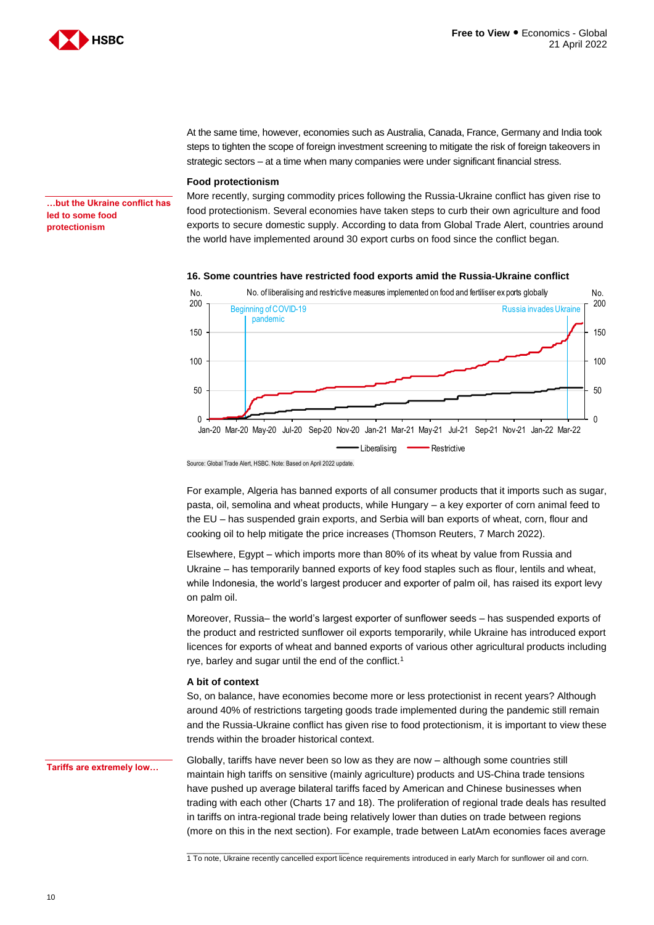

At the same time, however, economies such as Australia, Canada, France, Germany and India took steps to tighten the scope of foreign investment screening to mitigate the risk of foreign takeovers in strategic sectors – at a time when many companies were under significant financial stress.

#### **Food protectionism**

**…but the Ukraine conflict has led to some food protectionism**

More recently, surging commodity prices following the Russia-Ukraine conflict has given rise to food protectionism. Several economies have taken steps to curb their own agriculture and food exports to secure domestic supply. According to data from Global Trade Alert, countries around the world have implemented around 30 export curbs on food since the conflict began.

#### **16. Some countries have restricted food exports amid the Russia-Ukraine conflict**



Source: Global Trade Alert, HSBC. Note: Based on April 2022 update.

\_\_\_\_\_\_\_\_\_\_\_\_\_\_\_\_\_\_\_\_\_\_\_\_\_\_\_\_\_\_\_\_\_\_\_\_\_\_

For example, Algeria has banned exports of all consumer products that it imports such as sugar, pasta, oil, semolina and wheat products, while Hungary – a key exporter of corn animal feed to the EU – has suspended grain exports, and Serbia will ban exports of wheat, corn, flour and cooking oil to help mitigate the price increases (Thomson Reuters, 7 March 2022).

Elsewhere, Egypt – which imports more than 80% of its wheat by value from Russia and Ukraine – has temporarily banned exports of key food staples such as flour, lentils and wheat, while Indonesia, the world's largest producer and exporter of palm oil, has raised its export levy on palm oil.

Moreover, Russia– the world's largest exporter of sunflower seeds – has suspended exports of the product and restricted sunflower oil exports temporarily, while Ukraine has introduced export licences for exports of wheat and banned exports of various other agricultural products including rye, barley and sugar until the end of the conflict.<sup>1</sup>

#### **A bit of context**

So, on balance, have economies become more or less protectionist in recent years? Although around 40% of restrictions targeting goods trade implemented during the pandemic still remain and the Russia-Ukraine conflict has given rise to food protectionism, it is important to view these trends within the broader historical context.

**Tariffs are extremely low…**

Globally, tariffs have never been so low as they are now – although some countries still maintain high tariffs on sensitive (mainly agriculture) products and US-China trade tensions have pushed up average bilateral tariffs faced by American and Chinese businesses when trading with each other (Charts 17 and 18). The proliferation of regional trade deals has resulted in tariffs on intra-regional trade being relatively lower than duties on trade between regions (more on this in the next section). For example, trade between LatAm economies faces average

1 To note, Ukraine recently cancelled export licence requirements introduced in early March for sunflower oil and corn.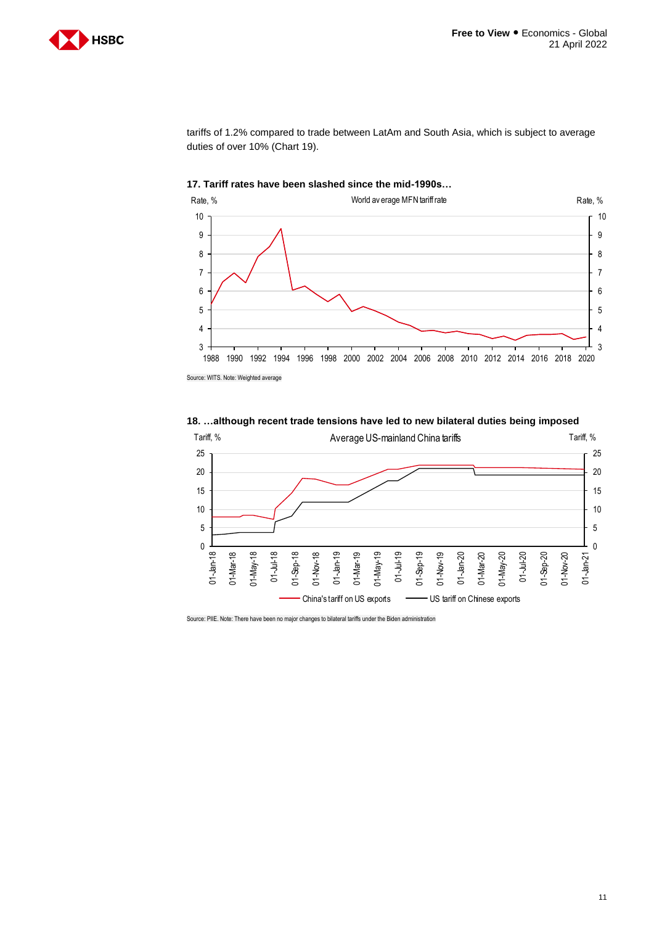

tariffs of 1.2% compared to trade between LatAm and South Asia, which is subject to average duties of over 10% (Chart 19).



#### **17. Tariff rates have been slashed since the mid-1990s…**

Source: WITS. Note: Weighted average



**18. …although recent trade tensions have led to new bilateral duties being imposed**

Source: PIIE. Note: There have been no major changes to bilateral tariffs under the Biden administration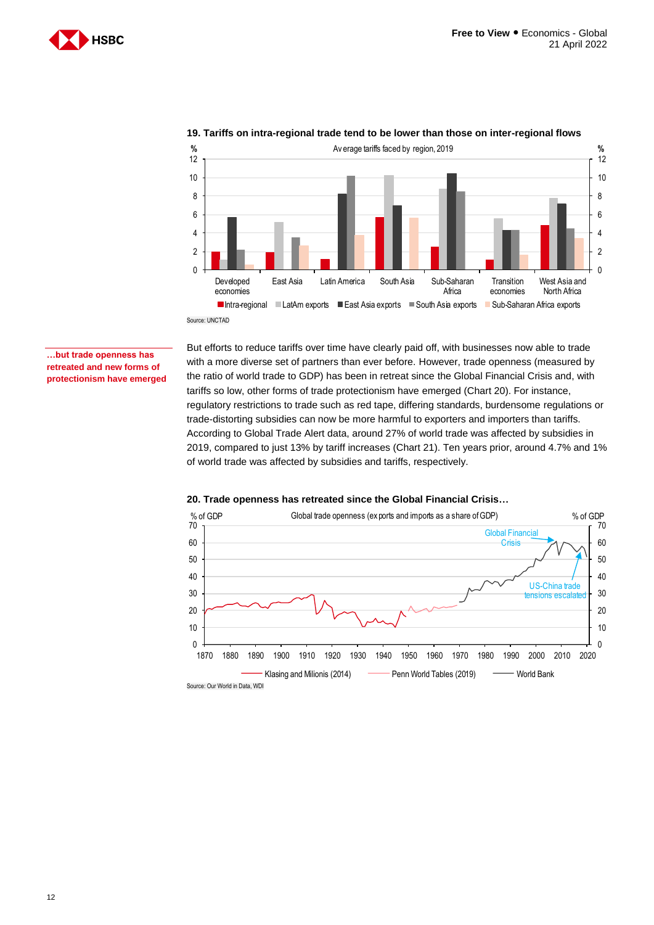



## **19. Tariffs on intra-regional trade tend to be lower than those on inter-regional flows**

Source: UNCTAD

#### **…but trade openness has retreated and new forms of protectionism have emerged**

But efforts to reduce tariffs over time have clearly paid off, with businesses now able to trade with a more diverse set of partners than ever before. However, trade openness (measured by the ratio of world trade to GDP) has been in retreat since the Global Financial Crisis and, with tariffs so low, other forms of trade protectionism have emerged (Chart 20). For instance, regulatory restrictions to trade such as red tape, differing standards, burdensome regulations or trade-distorting subsidies can now be more harmful to exporters and importers than tariffs. According to Global Trade Alert data, around 27% of world trade was affected by subsidies in 2019, compared to just 13% by tariff increases (Chart 21). Ten years prior, around 4.7% and 1% of world trade was affected by subsidies and tariffs, respectively.



### **20. Trade openness has retreated since the Global Financial Crisis…**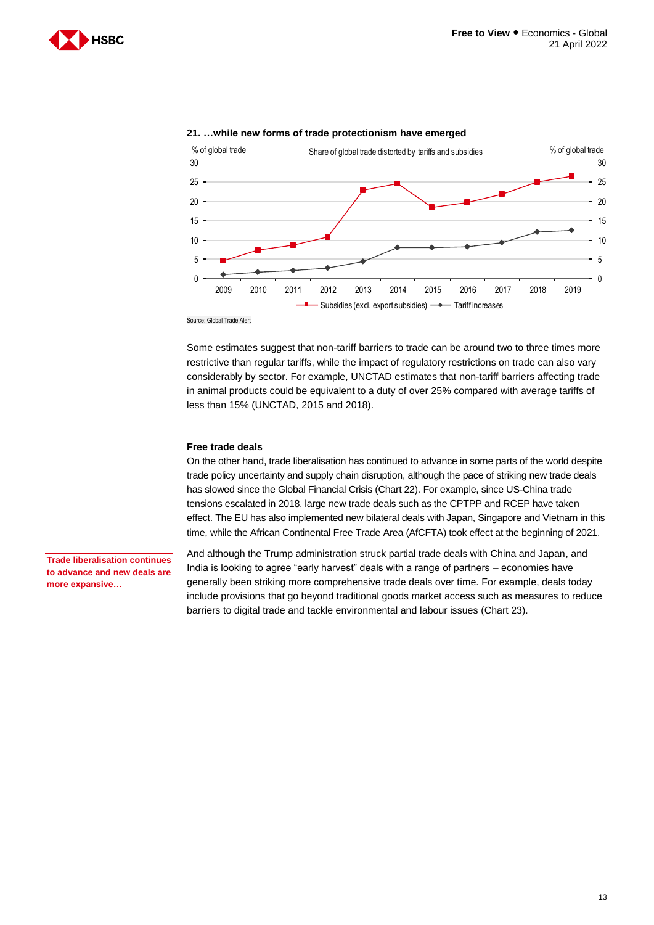



### **21. …while new forms of trade protectionism have emerged**

Source: Global Trade Alert

Some estimates suggest that non-tariff barriers to trade can be around two to three times more restrictive than regular tariffs, while the impact of regulatory restrictions on trade can also vary considerably by sector. For example, UNCTAD estimates that non-tariff barriers affecting trade in animal products could be equivalent to a duty of over 25% compared with average tariffs of less than 15% (UNCTAD, 2015 and 2018).

#### **Free trade deals**

On the other hand, trade liberalisation has continued to advance in some parts of the world despite trade policy uncertainty and supply chain disruption, although the pace of striking new trade deals has slowed since the Global Financial Crisis (Chart 22). For example, since US-China trade tensions escalated in 2018, large new trade deals such as the CPTPP and RCEP have taken effect. The EU has also implemented new bilateral deals with Japan, Singapore and Vietnam in this time, while the African Continental Free Trade Area (AfCFTA) took effect at the beginning of 2021.

**Trade liberalisation continues to advance and new deals are more expansive…**

And although the Trump administration struck partial trade deals with China and Japan, and India is looking to agree "early harvest" deals with a range of partners – economies have generally been striking more comprehensive trade deals over time. For example, deals today include provisions that go beyond traditional goods market access such as measures to reduce barriers to digital trade and tackle environmental and labour issues (Chart 23).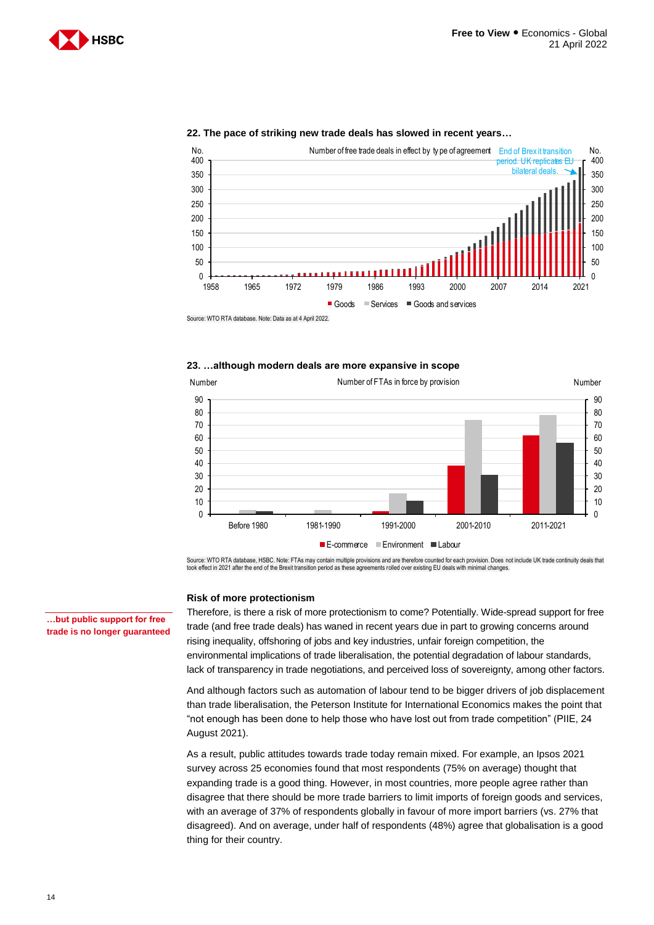



#### **22. The pace of striking new trade deals has slowed in recent years…**

Source: WTO RTA database. Note: Data as at 4 April 2022.

#### **23. …although modern deals are more expansive in scope**



Source: WTO RTA database, HSBC. Note: FTAs may contain multiple provisions and are therefore counted for each provision. Does not include UK trade continuity deals that<br>took effect in 2021 after the end of the Brexit trans

#### **Risk of more protectionism**

Therefore, is there a risk of more protectionism to come? Potentially. Wide-spread support for free trade (and free trade deals) has waned in recent years due in part to growing concerns around rising inequality, offshoring of jobs and key industries, unfair foreign competition, the environmental implications of trade liberalisation, the potential degradation of labour standards, lack of transparency in trade negotiations, and perceived loss of sovereignty, among other factors.

And although factors such as automation of labour tend to be bigger drivers of job displacement than trade liberalisation, the Peterson Institute for International Economics makes the point that "not enough has been done to help those who have lost out from trade competition" (PIIE, 24 August 2021).

As a result, public attitudes towards trade today remain mixed. For example, an Ipsos 2021 survey across 25 economies found that most respondents (75% on average) thought that expanding trade is a good thing. However, in most countries, more people agree rather than disagree that there should be more trade barriers to limit imports of foreign goods and services, with an average of 37% of respondents globally in favour of more import barriers (vs. 27% that disagreed). And on average, under half of respondents (48%) agree that globalisation is a good thing for their country.

**…but public support for free trade is no longer guaranteed**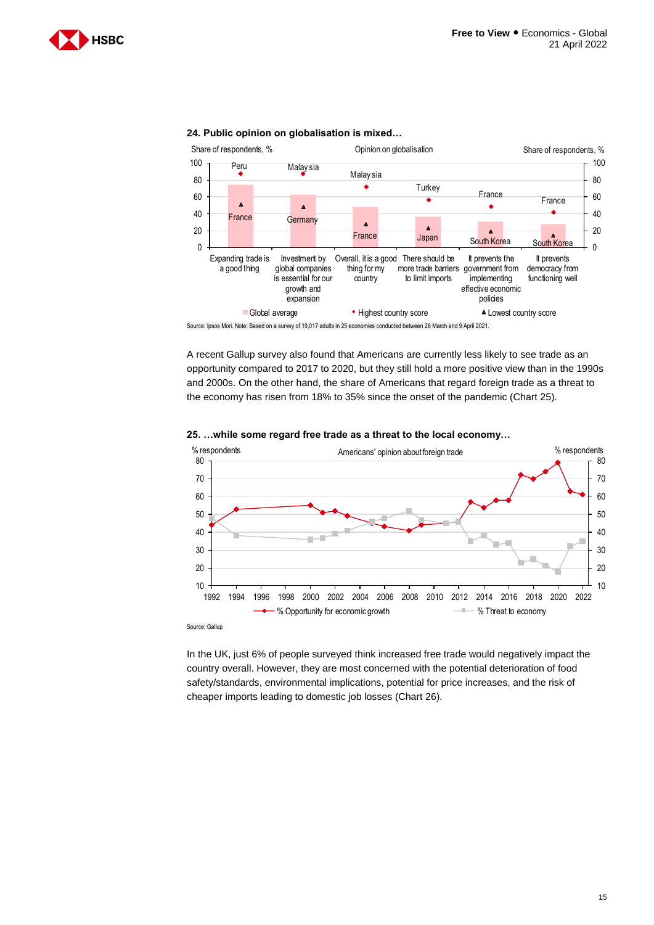



Source: Ipsos Mori. Note: Based on a survey of 19,017 adults in 25 economies conducted between 26 March and 9 April 2021.

A recent Gallup survey also found that Americans are currently less likely to see trade as an opportunity compared to 2017 to 2020, but they still hold a more positive view than in the 1990s and 2000s. On the other hand, the share of Americans that regard foreign trade as a threat to the economy has risen from 18% to 35% since the onset of the pandemic (Chart 25).



#### **25. …while some regard free trade as a threat to the local economy…**

In the UK, just 6% of people surveyed think increased free trade would negatively impact the country overall. However, they are most concerned with the potential deterioration of food safety/standards, environmental implications, potential for price increases, and the risk of cheaper imports leading to domestic job losses (Chart 26).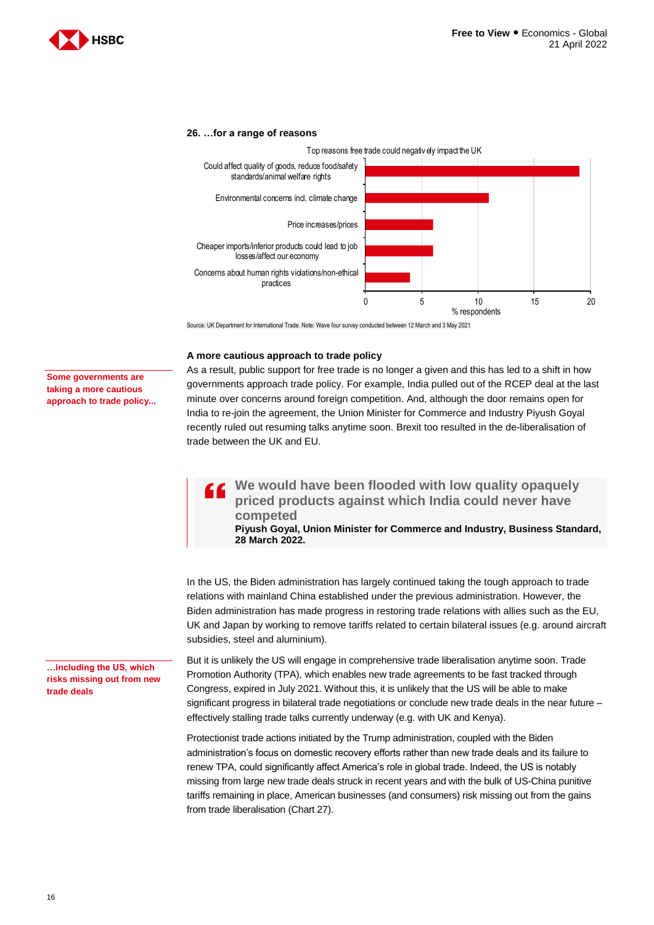

#### **26. …for a range of reasons**



Source: UK Department for International Trade. Note: Wave four survey conducted between 12 March and 3 May 2021

#### **A more cautious approach to trade policy**

#### **Some governments are taking a more cautious approach to trade policy...**

As a result, public support for free trade is no longer a given and this has led to a shift in how governments approach trade policy. For example, India pulled out of the RCEP deal at the last minute over concerns around foreign competition. And, although the door remains open for India to re-join the agreement, the Union Minister for Commerce and Industry Piyush Goyal recently ruled out resuming talks anytime soon. Brexit too resulted in the de-liberalisation of trade between the UK and EU.

 $\overline{\mathbf{G}}$ **We would have been flooded with low quality opaquely priced products against which India could never have competed**

**Piyush Goyal, Union Minister for Commerce and Industry, Business Standard, 28 March 2022.**

In the US, the Biden administration has largely continued taking the tough approach to trade relations with mainland China established under the previous administration. However, the Biden administration has made progress in restoring trade relations with allies such as the EU, UK and Japan by working to remove tariffs related to certain bilateral issues (e.g. around aircraft subsidies, steel and aluminium).

But it is unlikely the US will engage in comprehensive trade liberalisation anytime soon. Trade Promotion Authority (TPA), which enables new trade agreements to be fast tracked through Congress, expired in July 2021. Without this, it is unlikely that the US will be able to make significant progress in bilateral trade negotiations or conclude new trade deals in the near future – effectively stalling trade talks currently underway (e.g. with UK and Kenya).

Protectionist trade actions initiated by the Trump administration, coupled with the Biden administration's focus on domestic recovery efforts rather than new trade deals and its failure to renew TPA, could significantly affect America's role in global trade. Indeed, the US is notably missing from large new trade deals struck in recent years and with the bulk of US-China punitive tariffs remaining in place, American businesses (and consumers) risk missing out from the gains from trade liberalisation (Chart 27).

**…including the US, which risks missing out from new trade deals**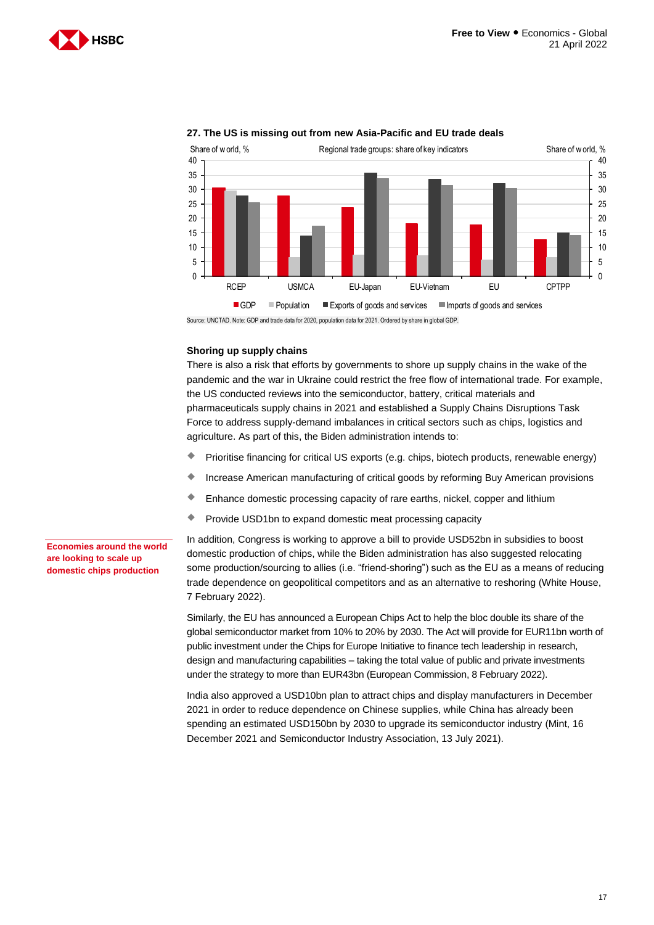



### **27. The US is missing out from new Asia-Pacific and EU trade deals**

Source: UNCTAD. Note: GDP and trade data for 2020, population data for 2021. Ordered by share in global GDP.

#### **Shoring up supply chains**

There is also a risk that efforts by governments to shore up supply chains in the wake of the pandemic and the war in Ukraine could restrict the free flow of international trade. For example, the US conducted reviews into the semiconductor, battery, critical materials and pharmaceuticals supply chains in 2021 and established a Supply Chains Disruptions Task Force to address supply-demand imbalances in critical sectors such as chips, logistics and agriculture. As part of this, the Biden administration intends to:

- Prioritise financing for critical US exports (e.g. chips, biotech products, renewable energy)
- **Increase American manufacturing of critical goods by reforming Buy American provisions**
- Enhance domestic processing capacity of rare earths, nickel, copper and lithium
- **Provide USD1bn to expand domestic meat processing capacity**

**Economies around the world are looking to scale up domestic chips production**

In addition, Congress is working to approve a bill to provide USD52bn in subsidies to boost domestic production of chips, while the Biden administration has also suggested relocating some production/sourcing to allies (i.e. "friend-shoring") such as the EU as a means of reducing trade dependence on geopolitical competitors and as an alternative to reshoring (White House, 7 February 2022).

Similarly, the EU has announced a European Chips Act to help the bloc double its share of the global semiconductor market from 10% to 20% by 2030. The Act will provide for EUR11bn worth of public investment under the Chips for Europe Initiative to finance tech leadership in research, design and manufacturing capabilities – taking the total value of public and private investments under the strategy to more than EUR43bn (European Commission, 8 February 2022).

India also approved a USD10bn plan to attract chips and display manufacturers in December 2021 in order to reduce dependence on Chinese supplies, while China has already been spending an estimated USD150bn by 2030 to upgrade its semiconductor industry (Mint, 16 December 2021 and Semiconductor Industry Association, 13 July 2021).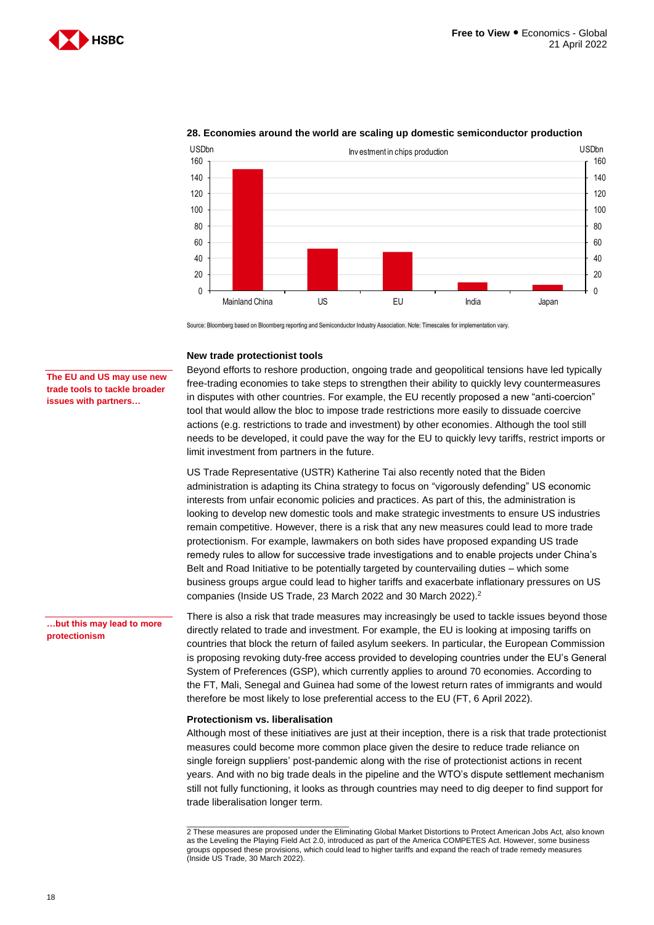



### **28. Economies around the world are scaling up domestic semiconductor production**

Source: Bloomberg based on Bloomberg reporting and Semiconductor Industry Association. Note: Timescales for implementation vary.

#### **New trade protectionist tools**

**The EU and US may use new trade tools to tackle broader issues with partners…**

**…but this may lead to more** 

**protectionism**

Beyond efforts to reshore production, ongoing trade and geopolitical tensions have led typically free-trading economies to take steps to strengthen their ability to quickly levy countermeasures in disputes with other countries. For example, the EU recently proposed a new "anti-coercion" tool that would allow the bloc to impose trade restrictions more easily to dissuade coercive actions (e.g. restrictions to trade and investment) by other economies. Although the tool still needs to be developed, it could pave the way for the EU to quickly levy tariffs, restrict imports or limit investment from partners in the future.

US Trade Representative (USTR) Katherine Tai also recently noted that the Biden administration is adapting its China strategy to focus on "vigorously defending" US economic interests from unfair economic policies and practices. As part of this, the administration is looking to develop new domestic tools and make strategic investments to ensure US industries remain competitive. However, there is a risk that any new measures could lead to more trade protectionism. For example, lawmakers on both sides have proposed expanding US trade remedy rules to allow for successive trade investigations and to enable projects under China's Belt and Road Initiative to be potentially targeted by countervailing duties – which some business groups argue could lead to higher tariffs and exacerbate inflationary pressures on US companies (Inside US Trade, 23 March 2022 and 30 March 2022).<sup>2</sup>

There is also a risk that trade measures may increasingly be used to tackle issues beyond those directly related to trade and investment. For example, the EU is looking at imposing tariffs on countries that block the return of failed asylum seekers. In particular, the European Commission is proposing revoking duty-free access provided to developing countries under the EU's General System of Preferences (GSP), which currently applies to around 70 economies. According to the FT, Mali, Senegal and Guinea had some of the lowest return rates of immigrants and would therefore be most likely to lose preferential access to the EU (FT, 6 April 2022).

#### **Protectionism vs. liberalisation**

 $\overline{\phantom{a}}$  , and the set of the set of the set of the set of the set of the set of the set of the set of the set of the set of the set of the set of the set of the set of the set of the set of the set of the set of the s

Although most of these initiatives are just at their inception, there is a risk that trade protectionist measures could become more common place given the desire to reduce trade reliance on single foreign suppliers' post-pandemic along with the rise of protectionist actions in recent years. And with no big trade deals in the pipeline and the WTO's dispute settlement mechanism still not fully functioning, it looks as through countries may need to dig deeper to find support for trade liberalisation longer term.

<sup>2</sup> These measures are proposed under the Eliminating Global Market Distortions to Protect American Jobs Act, also known as the Leveling the Playing Field Act 2.0, introduced as part of the America COMPETES Act. However, some business groups opposed these provisions, which could lead to higher tariffs and expand the reach of trade remedy measures (Inside US Trade, 30 March 2022).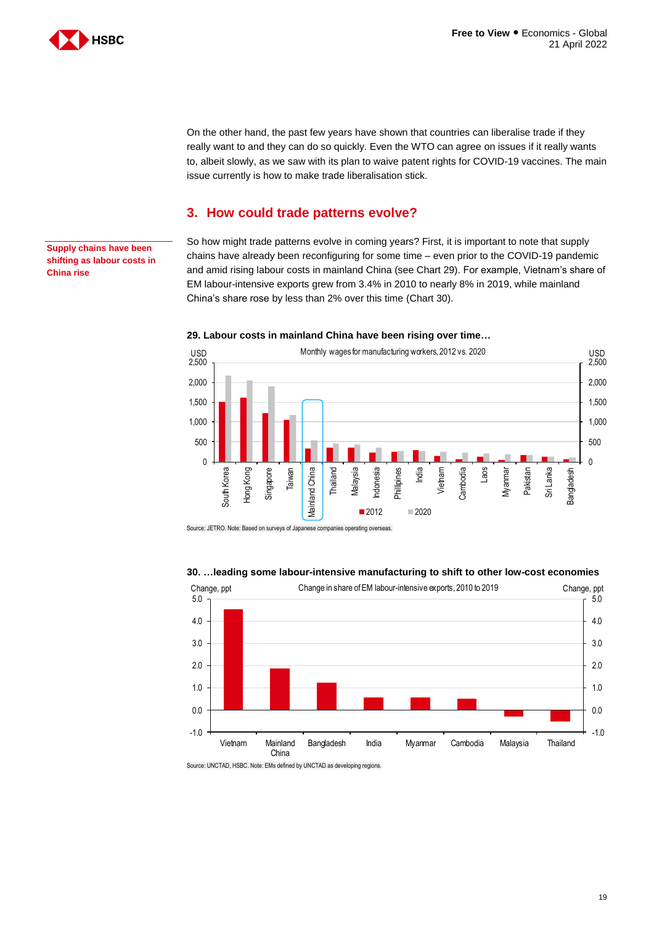

On the other hand, the past few years have shown that countries can liberalise trade if they really want to and they can do so quickly. Even the WTO can agree on issues if it really wants to, albeit slowly, as we saw with its plan to waive patent rights for COVID-19 vaccines. The main issue currently is how to make trade liberalisation stick.

## <span id="page-18-0"></span>**3. How could trade patterns evolve?**

**Supply chains have been shifting as labour costs in China rise**

So how might trade patterns evolve in coming years? First, it is important to note that supply chains have already been reconfiguring for some time – even prior to the COVID-19 pandemic and amid rising labour costs in mainland China (see Chart 29). For example, Vietnam's share of EM labour-intensive exports grew from 3.4% in 2010 to nearly 8% in 2019, while mainland China's share rose by less than 2% over this time (Chart 30).



#### **29. Labour costs in mainland China have been rising over time…**

Source: JETRO. Note: Based on surveys of Japanese companies operating overseas.

#### **30. …leading some labour-intensive manufacturing to shift to other low-cost economies**



Source: UNCTAD, HSBC. Note: EMs defined by UNCTAD as developing regions.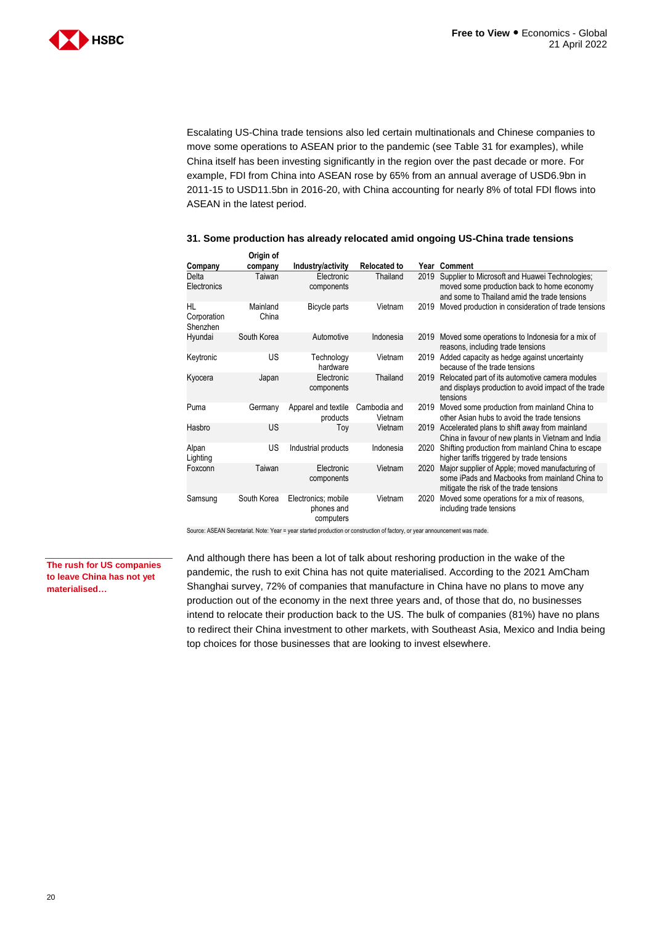

Escalating US-China trade tensions also led certain multinationals and Chinese companies to move some operations to ASEAN prior to the pandemic (see Table 31 for examples), while China itself has been investing significantly in the region over the past decade or more. For example, FDI from China into ASEAN rose by 65% from an annual average of USD6.9bn in 2011-15 to USD11.5bn in 2016-20, with China accounting for nearly 8% of total FDI flows into ASEAN in the latest period.

#### **31. Some production has already relocated amid ongoing US-China trade tensions**

|                               | Origin of         |                                                |                         |      |                                                                                                                                              |
|-------------------------------|-------------------|------------------------------------------------|-------------------------|------|----------------------------------------------------------------------------------------------------------------------------------------------|
| Company                       | company           | Industry/activity                              | <b>Relocated to</b>     |      | Year Comment                                                                                                                                 |
| Delta<br>Electronics          | Taiwan            | Electronic<br>components                       | Thailand                | 2019 | Supplier to Microsoft and Huawei Technologies;<br>moved some production back to home economy<br>and some to Thailand amid the trade tensions |
| HL<br>Corporation<br>Shenzhen | Mainland<br>China | Bicycle parts                                  | Vietnam                 | 2019 | Moved production in consideration of trade tensions                                                                                          |
| Hyundai                       | South Korea       | Automotive                                     | Indonesia               | 2019 | Moved some operations to Indonesia for a mix of<br>reasons, including trade tensions                                                         |
| Keytronic                     | US                | Technology<br>hardware                         | Vietnam                 | 2019 | Added capacity as hedge against uncertainty<br>because of the trade tensions                                                                 |
| Kyocera                       | Japan             | Electronic<br>components                       | Thailand                | 2019 | Relocated part of its automotive camera modules<br>and displays production to avoid impact of the trade<br>tensions                          |
| Puma                          | Germany           | Apparel and textile<br>products                | Cambodia and<br>Vietnam | 2019 | Moved some production from mainland China to<br>other Asian hubs to avoid the trade tensions                                                 |
| Hasbro                        | <b>US</b>         | Тоу                                            | Vietnam                 | 2019 | Accelerated plans to shift away from mainland<br>China in favour of new plants in Vietnam and India                                          |
| Alpan<br>Lighting             | US                | Industrial products                            | Indonesia               | 2020 | Shifting production from mainland China to escape<br>higher tariffs triggered by trade tensions                                              |
| Foxconn                       | Taiwan            | Electronic<br>components                       | Vietnam                 | 2020 | Major supplier of Apple; moved manufacturing of<br>some iPads and Macbooks from mainland China to<br>mitigate the risk of the trade tensions |
| Samsung                       | South Korea       | Electronics; mobile<br>phones and<br>computers | Vietnam                 | 2020 | Moved some operations for a mix of reasons,<br>including trade tensions                                                                      |

Source: ASEAN Secretariat. Note: Year = year started production or construction of factory, or year announcement was made.

**The rush for US companies to leave China has not yet materialised…**

And although there has been a lot of talk about reshoring production in the wake of the pandemic, the rush to exit China has not quite materialised. According to the 2021 AmCham Shanghai survey, 72% of companies that manufacture in China have no plans to move any production out of the economy in the next three years and, of those that do, no businesses intend to relocate their production back to the US. The bulk of companies (81%) have no plans to redirect their China investment to other markets, with Southeast Asia, Mexico and India being top choices for those businesses that are looking to invest elsewhere.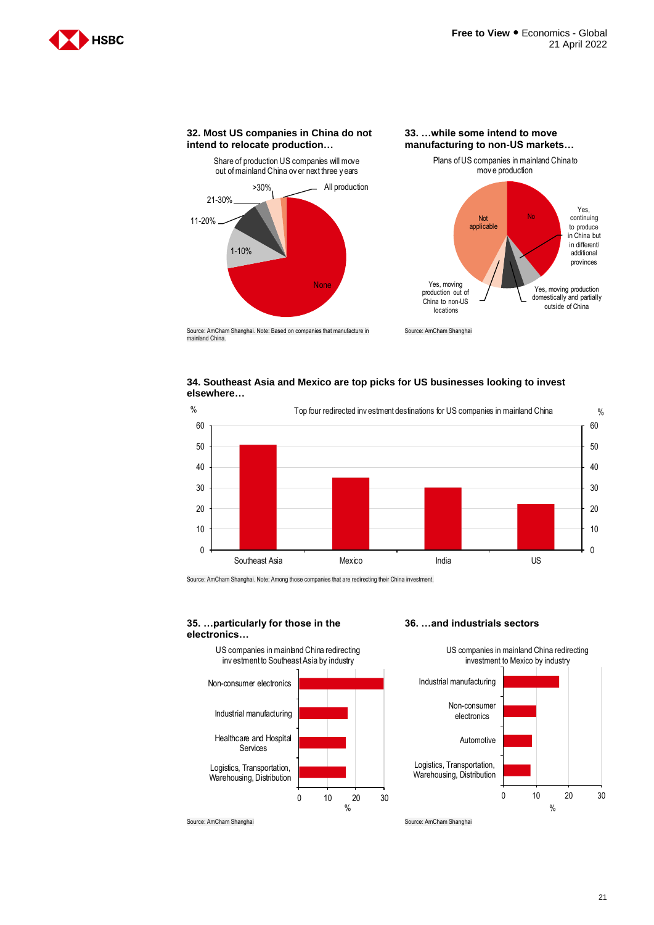



Source: AmCham Shanghai. Note: Based on companies that manufacture in mainland China.





Source: AmCham Shanghai. Note: Among those companies that are redirecting their China investment.

#### **35. …particularly for those in the electronics…**



#### **36. …and industrials sectors**



Source: AmCham Shanghai Source: AmCham Shanghai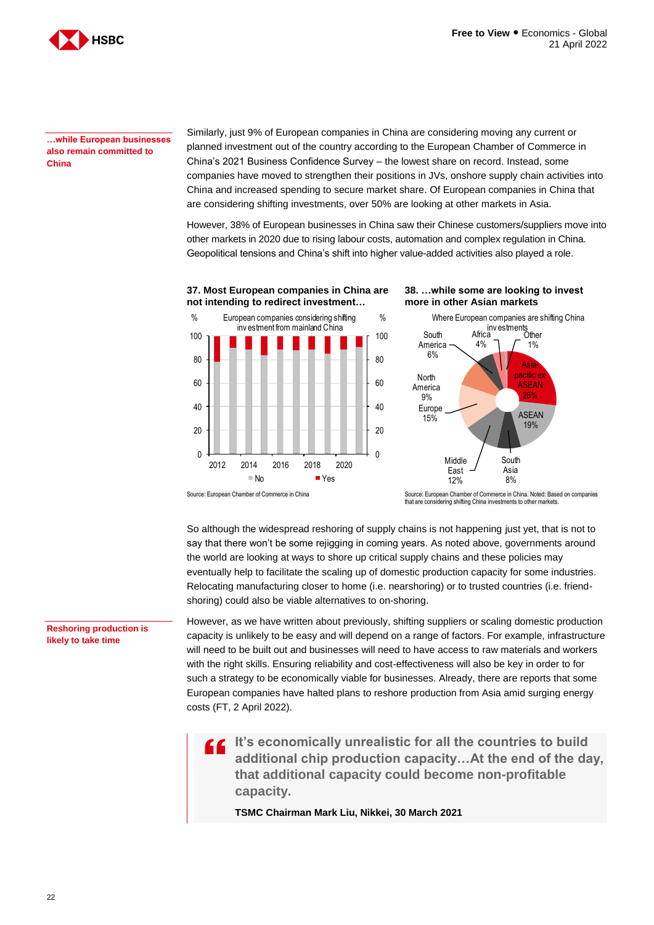

**…while European businesses also remain committed to China**

Similarly, just 9% of European companies in China are considering moving any current or planned investment out of the country according to the European Chamber of Commerce in China's 2021 Business Confidence Survey – the lowest share on record. Instead, some companies have moved to strengthen their positions in JVs, onshore supply chain activities into China and increased spending to secure market share. Of European companies in China that are considering shifting investments, over 50% are looking at other markets in Asia.

However, 38% of European businesses in China saw their Chinese customers/suppliers move into other markets in 2020 due to rising labour costs, automation and complex regulation in China. Geopolitical tensions and China's shift into higher value-added activities also played a role.



that are considering shifting China investments to other markets.

So although the widespread reshoring of supply chains is not happening just yet, that is not to say that there won't be some rejigging in coming years. As noted above, governments around the world are looking at ways to shore up critical supply chains and these policies may eventually help to facilitate the scaling up of domestic production capacity for some industries. Relocating manufacturing closer to home (i.e. nearshoring) or to trusted countries (i.e. friendshoring) could also be viable alternatives to on-shoring.

However, as we have written about previously, shifting suppliers or scaling domestic production capacity is unlikely to be easy and will depend on a range of factors. For example, infrastructure will need to be built out and businesses will need to have access to raw materials and workers with the right skills. Ensuring reliability and cost-effectiveness will also be key in order to for such a strategy to be economically viable for businesses. Already, there are reports that some European companies have halted plans to reshore production from Asia amid surging energy costs (FT, 2 April 2022).

 $\overline{\mathbf{G}}$ **It's economically unrealistic for all the countries to build additional chip production capacity…At the end of the day, that additional capacity could become non-profitable capacity.**

**TSMC Chairman Mark Liu, Nikkei, 30 March 2021**

**Reshoring production is likely to take time**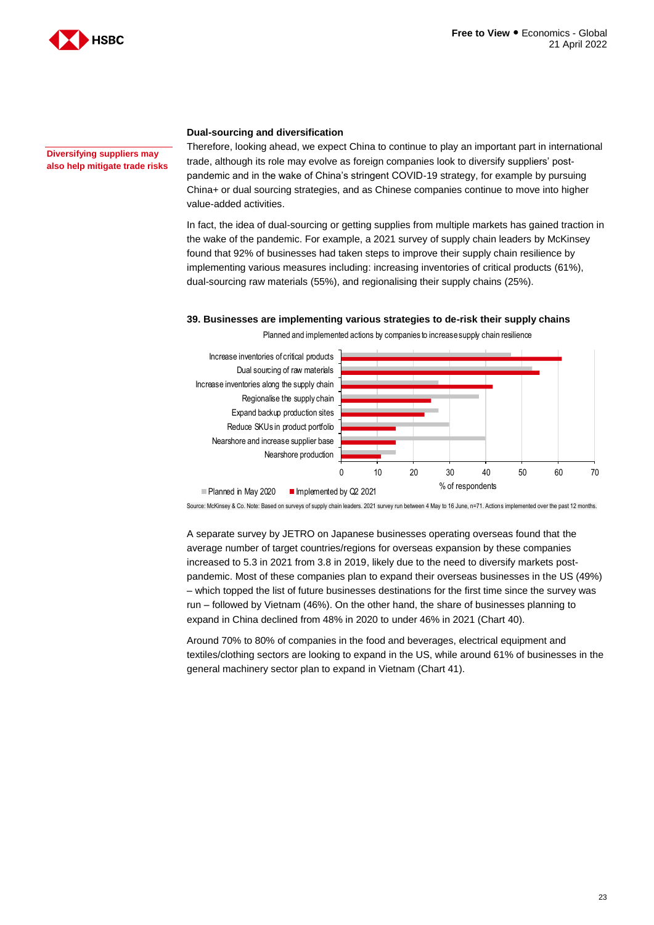

**Diversifying suppliers may also help mitigate trade risks**

#### **Dual-sourcing and diversification**

Therefore, looking ahead, we expect China to continue to play an important part in international trade, although its role may evolve as foreign companies look to diversify suppliers' postpandemic and in the wake of China's stringent COVID-19 strategy, for example by pursuing China+ or dual sourcing strategies, and as Chinese companies continue to move into higher value-added activities.

In fact, the idea of dual-sourcing or getting supplies from multiple markets has gained traction in the wake of the pandemic. For example, a 2021 survey of supply chain leaders by McKinsey found that 92% of businesses had taken steps to improve their supply chain resilience by implementing various measures including: increasing inventories of critical products (61%), dual-sourcing raw materials (55%), and regionalising their supply chains (25%).

#### **39. Businesses are implementing various strategies to de-risk their supply chains**



Planned and implemented actions by companies to increase supply chain resilience

Source: McKinsey & Co. Note: Based on surveys of supply chain leaders. 2021 survey run between 4 May to 16 June, n=71. Actions implemented over the past 12 months.

A separate survey by JETRO on Japanese businesses operating overseas found that the average number of target countries/regions for overseas expansion by these companies increased to 5.3 in 2021 from 3.8 in 2019, likely due to the need to diversify markets postpandemic. Most of these companies plan to expand their overseas businesses in the US (49%) – which topped the list of future businesses destinations for the first time since the survey was run – followed by Vietnam (46%). On the other hand, the share of businesses planning to expand in China declined from 48% in 2020 to under 46% in 2021 (Chart 40).

Around 70% to 80% of companies in the food and beverages, electrical equipment and textiles/clothing sectors are looking to expand in the US, while around 61% of businesses in the general machinery sector plan to expand in Vietnam (Chart 41).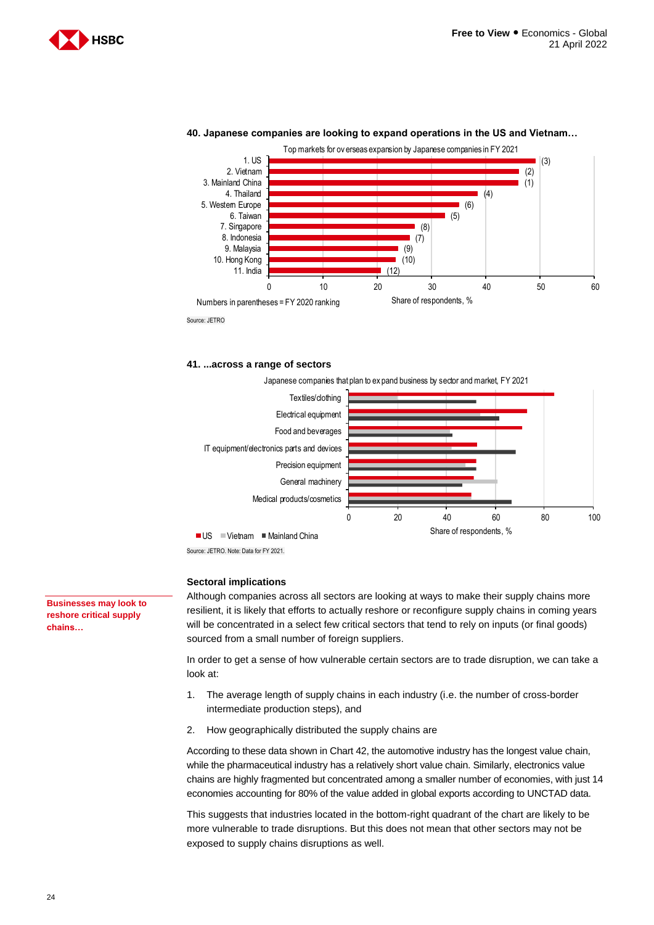



#### **40. Japanese companies are looking to expand operations in the US and Vietnam…**

**41. ...across a range of sectors** 



Source: JETRO. Note: Data for FY 2021.

#### **Sectoral implications**

Although companies across all sectors are looking at ways to make their supply chains more resilient, it is likely that efforts to actually reshore or reconfigure supply chains in coming years will be concentrated in a select few critical sectors that tend to rely on inputs (or final goods) sourced from a small number of foreign suppliers.

In order to get a sense of how vulnerable certain sectors are to trade disruption, we can take a look at:

- 1. The average length of supply chains in each industry (i.e. the number of cross-border intermediate production steps), and
- 2. How geographically distributed the supply chains are

According to these data shown in Chart 42, the automotive industry has the longest value chain, while the pharmaceutical industry has a relatively short value chain. Similarly, electronics value chains are highly fragmented but concentrated among a smaller number of economies, with just 14 economies accounting for 80% of the value added in global exports according to UNCTAD data.

This suggests that industries located in the bottom-right quadrant of the chart are likely to be more vulnerable to trade disruptions. But this does not mean that other sectors may not be exposed to supply chains disruptions as well.

**Businesses may look to reshore critical supply chains…**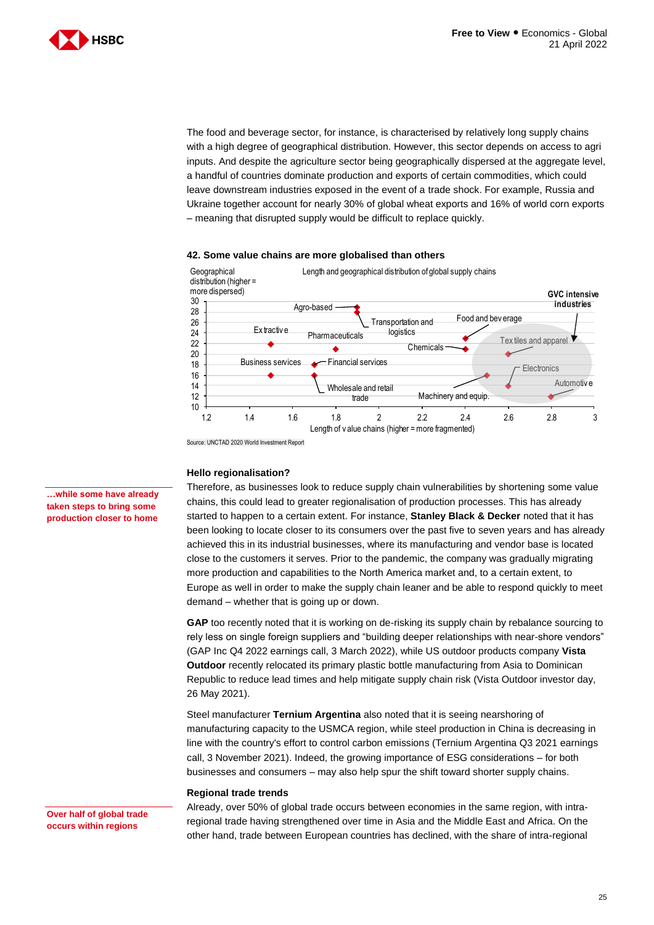

The food and beverage sector, for instance, is characterised by relatively long supply chains with a high degree of geographical distribution. However, this sector depends on access to agri inputs. And despite the agriculture sector being geographically dispersed at the aggregate level, a handful of countries dominate production and exports of certain commodities, which could leave downstream industries exposed in the event of a trade shock. For example, Russia and Ukraine together account for nearly 30% of global wheat exports and 16% of world corn exports – meaning that disrupted supply would be difficult to replace quickly.



#### **42. Some value chains are more globalised than others**

Source: UNCTAD 2020 World Investment Report

#### **Hello regionalisation?**

Therefore, as businesses look to reduce supply chain vulnerabilities by shortening some value chains, this could lead to greater regionalisation of production processes. This has already started to happen to a certain extent. For instance, **Stanley Black & Decker** noted that it has been looking to locate closer to its consumers over the past five to seven years and has already achieved this in its industrial businesses, where its manufacturing and vendor base is located close to the customers it serves. Prior to the pandemic, the company was gradually migrating more production and capabilities to the North America market and, to a certain extent, to Europe as well in order to make the supply chain leaner and be able to respond quickly to meet demand – whether that is going up or down.

**GAP** too recently noted that it is working on de-risking its supply chain by rebalance sourcing to rely less on single foreign suppliers and "building deeper relationships with near-shore vendors" (GAP Inc Q4 2022 earnings call, 3 March 2022), while US outdoor products company **Vista Outdoor** recently relocated its primary plastic bottle manufacturing from Asia to Dominican Republic to reduce lead times and help mitigate supply chain risk (Vista Outdoor investor day, 26 May 2021).

Steel manufacturer **Ternium Argentina** also noted that it is seeing nearshoring of manufacturing capacity to the USMCA region, while steel production in China is decreasing in line with the country's effort to control carbon emissions (Ternium Argentina Q3 2021 earnings call, 3 November 2021). Indeed, the growing importance of ESG considerations – for both businesses and consumers – may also help spur the shift toward shorter supply chains.

#### **Regional trade trends**

#### **Over half of global trade occurs within regions**

Already, over 50% of global trade occurs between economies in the same region, with intraregional trade having strengthened over time in Asia and the Middle East and Africa. On the other hand, trade between European countries has declined, with the share of intra-regional

**…while some have already taken steps to bring some production closer to home**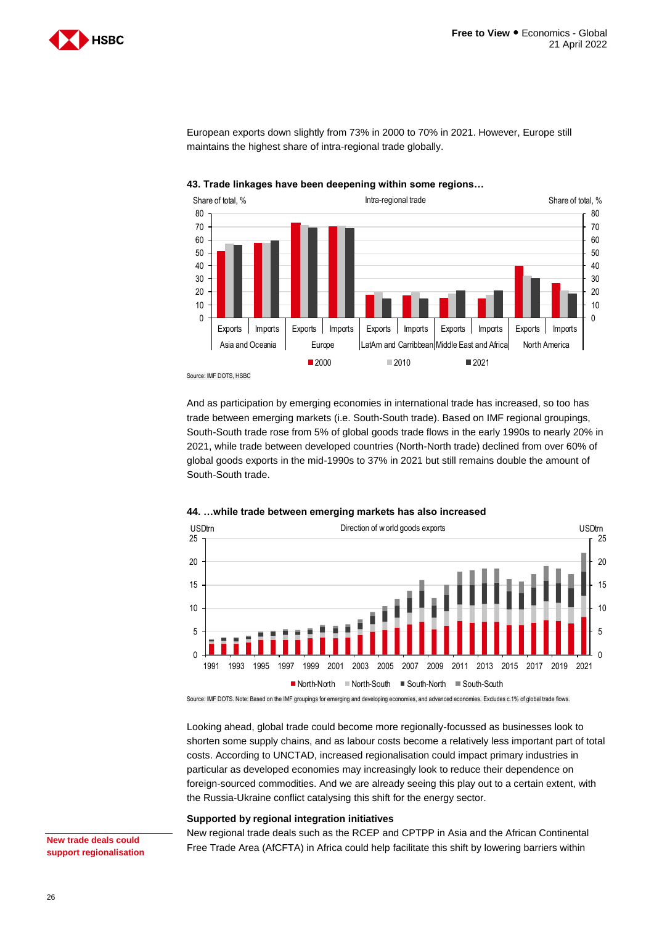

 $\Omega$ 10 20 30 40 50 60 70 80  $\Omega$ 10 20 30 40 50 60 70 80 Exports | Imports | Exports | Imports | Exports | Exports | Imports | Exports | Imports | Imports Asia and Oceania **Europe** LatAm and Carribbean Middle East and Africa North America Share of total, % Share of total, % Intra-regional trade Share of total, % Share of total, % 2000 2010 2021

European exports down slightly from 73% in 2000 to 70% in 2021. However, Europe still maintains the highest share of intra-regional trade globally.



Source: IMF DOTS, HSBC

And as participation by emerging economies in international trade has increased, so too has trade between emerging markets (i.e. South-South trade). Based on IMF regional groupings, South-South trade rose from 5% of global goods trade flows in the early 1990s to nearly 20% in 2021, while trade between developed countries (North-North trade) declined from over 60% of global goods exports in the mid-1990s to 37% in 2021 but still remains double the amount of South-South trade.



#### **44. …while trade between emerging markets has also increased**

Source: IMF DOTS. Note: Based on the IMF groupings for emerging and developing economies, and advanced economies. Excludes c.1% of global trade flows.

Looking ahead, global trade could become more regionally-focussed as businesses look to shorten some supply chains, and as labour costs become a relatively less important part of total costs. According to UNCTAD, increased regionalisation could impact primary industries in particular as developed economies may increasingly look to reduce their dependence on foreign-sourced commodities. And we are already seeing this play out to a certain extent, with the Russia-Ukraine conflict catalysing this shift for the energy sector.

#### **Supported by regional integration initiatives**

**New trade deals could support regionalisation**  New regional trade deals such as the RCEP and CPTPP in Asia and the African Continental Free Trade Area (AfCFTA) in Africa could help facilitate this shift by lowering barriers within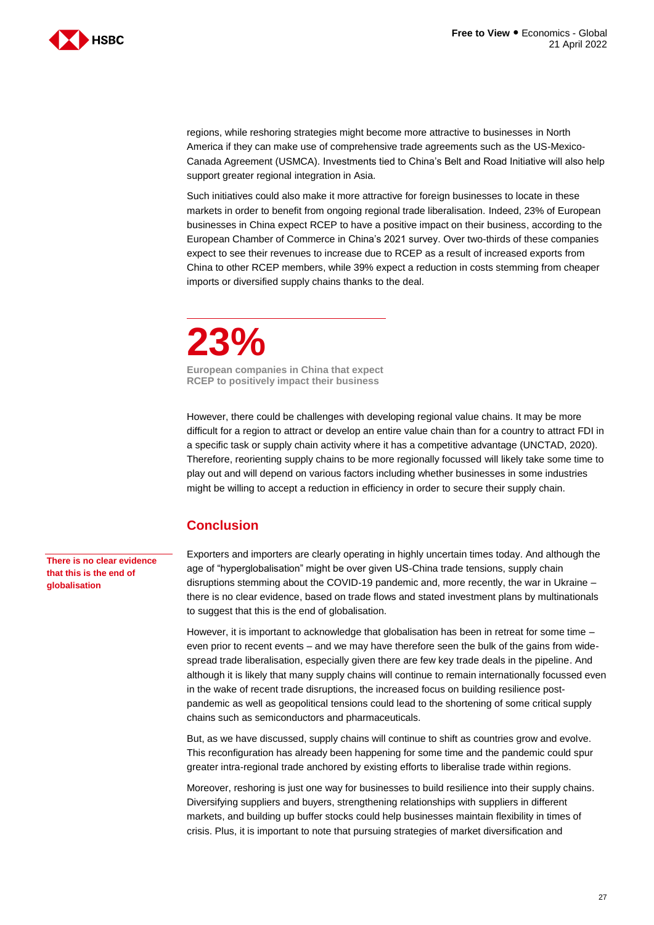

regions, while reshoring strategies might become more attractive to businesses in North America if they can make use of comprehensive trade agreements such as the US-Mexico-Canada Agreement (USMCA). Investments tied to China's Belt and Road Initiative will also help support greater regional integration in Asia.

Such initiatives could also make it more attractive for foreign businesses to locate in these markets in order to benefit from ongoing regional trade liberalisation. Indeed, 23% of European businesses in China expect RCEP to have a positive impact on their business, according to the European Chamber of Commerce in China's 2021 survey. Over two-thirds of these companies expect to see their revenues to increase due to RCEP as a result of increased exports from China to other RCEP members, while 39% expect a reduction in costs stemming from cheaper imports or diversified supply chains thanks to the deal.

**23% European companies in China that expect RCEP to positively impact their business**

However, there could be challenges with developing regional value chains. It may be more difficult for a region to attract or develop an entire value chain than for a country to attract FDI in a specific task or supply chain activity where it has a competitive advantage (UNCTAD, 2020). Therefore, reorienting supply chains to be more regionally focussed will likely take some time to play out and will depend on various factors including whether businesses in some industries might be willing to accept a reduction in efficiency in order to secure their supply chain.

# **Conclusion**

Exporters and importers are clearly operating in highly uncertain times today. And although the age of "hyperglobalisation" might be over given US-China trade tensions, supply chain disruptions stemming about the COVID-19 pandemic and, more recently, the war in Ukraine – there is no clear evidence, based on trade flows and stated investment plans by multinationals to suggest that this is the end of globalisation.

However, it is important to acknowledge that globalisation has been in retreat for some time – even prior to recent events – and we may have therefore seen the bulk of the gains from widespread trade liberalisation, especially given there are few key trade deals in the pipeline. And although it is likely that many supply chains will continue to remain internationally focussed even in the wake of recent trade disruptions, the increased focus on building resilience postpandemic as well as geopolitical tensions could lead to the shortening of some critical supply chains such as semiconductors and pharmaceuticals.

But, as we have discussed, supply chains will continue to shift as countries grow and evolve. This reconfiguration has already been happening for some time and the pandemic could spur greater intra-regional trade anchored by existing efforts to liberalise trade within regions.

Moreover, reshoring is just one way for businesses to build resilience into their supply chains. Diversifying suppliers and buyers, strengthening relationships with suppliers in different markets, and building up buffer stocks could help businesses maintain flexibility in times of crisis. Plus, it is important to note that pursuing strategies of market diversification and

**There is no clear evidence that this is the end of globalisation**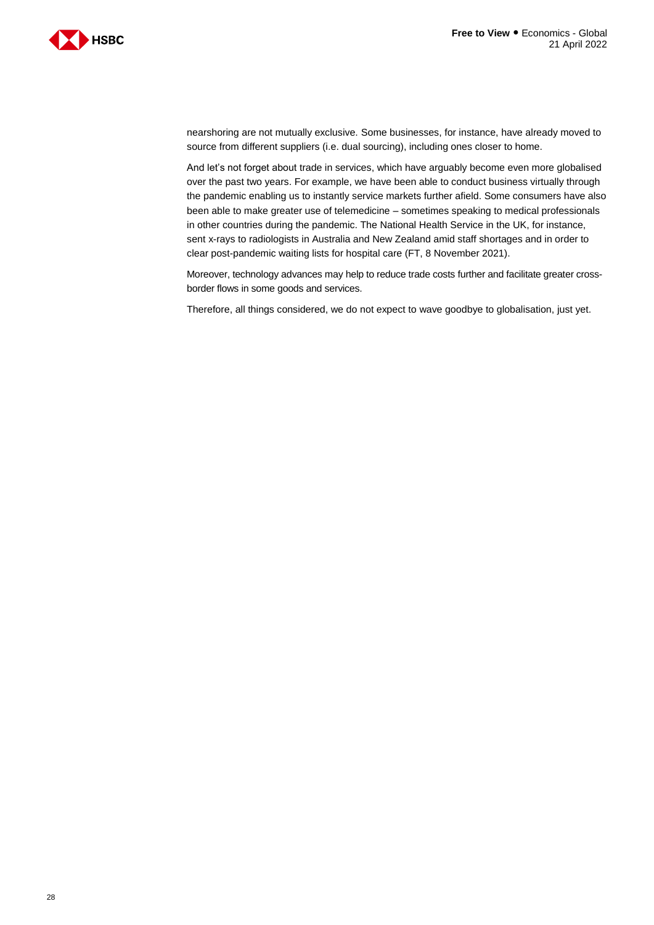



nearshoring are not mutually exclusive. Some businesses, for instance, have already moved to source from different suppliers (i.e. dual sourcing), including ones closer to home.

And let's not forget about trade in services, which have arguably become even more globalised over the past two years. For example, we have been able to conduct business virtually through the pandemic enabling us to instantly service markets further afield. Some consumers have also been able to make greater use of telemedicine – sometimes speaking to medical professionals in other countries during the pandemic. The National Health Service in the UK, for instance, sent x-rays to radiologists in Australia and New Zealand amid staff shortages and in order to clear post-pandemic waiting lists for hospital care (FT, 8 November 2021).

Moreover, technology advances may help to reduce trade costs further and facilitate greater crossborder flows in some goods and services.

Therefore, all things considered, we do not expect to wave goodbye to globalisation, just yet.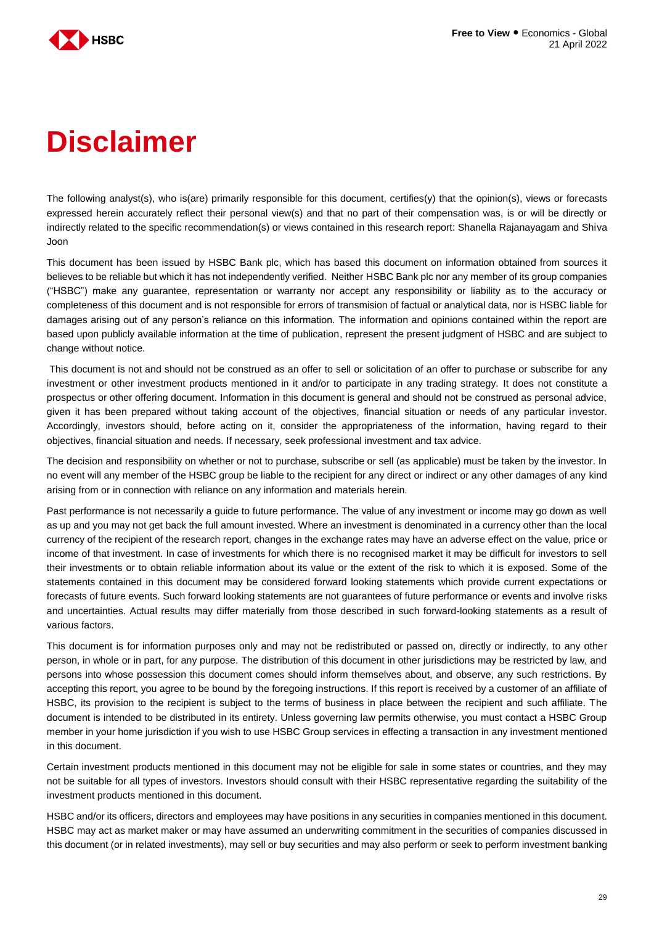

# **Disclaimer**

The following analyst(s), who is(are) primarily responsible for this document, certifies(y) that the opinion(s), views or forecasts expressed herein accurately reflect their personal view(s) and that no part of their compensation was, is or will be directly or indirectly related to the specific recommendation(s) or views contained in this research report: Shanella Rajanayagam and Shiva Joon

This document has been issued by HSBC Bank plc, which has based this document on information obtained from sources it believes to be reliable but which it has not independently verified. Neither HSBC Bank plc nor any member of its group companies ("HSBC") make any guarantee, representation or warranty nor accept any responsibility or liability as to the accuracy or completeness of this document and is not responsible for errors of transmision of factual or analytical data, nor is HSBC liable for damages arising out of any person's reliance on this information. The information and opinions contained within the report are based upon publicly available information at the time of publication, represent the present judgment of HSBC and are subject to change without notice.

This document is not and should not be construed as an offer to sell or solicitation of an offer to purchase or subscribe for any investment or other investment products mentioned in it and/or to participate in any trading strategy. It does not constitute a prospectus or other offering document. Information in this document is general and should not be construed as personal advice, given it has been prepared without taking account of the objectives, financial situation or needs of any particular investor. Accordingly, investors should, before acting on it, consider the appropriateness of the information, having regard to their objectives, financial situation and needs. If necessary, seek professional investment and tax advice.

The decision and responsibility on whether or not to purchase, subscribe or sell (as applicable) must be taken by the investor. In no event will any member of the HSBC group be liable to the recipient for any direct or indirect or any other damages of any kind arising from or in connection with reliance on any information and materials herein.

Past performance is not necessarily a guide to future performance. The value of any investment or income may go down as well as up and you may not get back the full amount invested. Where an investment is denominated in a currency other than the local currency of the recipient of the research report, changes in the exchange rates may have an adverse effect on the value, price or income of that investment. In case of investments for which there is no recognised market it may be difficult for investors to sell their investments or to obtain reliable information about its value or the extent of the risk to which it is exposed. Some of the statements contained in this document may be considered forward looking statements which provide current expectations or forecasts of future events. Such forward looking statements are not guarantees of future performance or events and involve risks and uncertainties. Actual results may differ materially from those described in such forward-looking statements as a result of various factors.

This document is for information purposes only and may not be redistributed or passed on, directly or indirectly, to any other person, in whole or in part, for any purpose. The distribution of this document in other jurisdictions may be restricted by law, and persons into whose possession this document comes should inform themselves about, and observe, any such restrictions. By accepting this report, you agree to be bound by the foregoing instructions. If this report is received by a customer of an affiliate of HSBC, its provision to the recipient is subject to the terms of business in place between the recipient and such affiliate. The document is intended to be distributed in its entirety. Unless governing law permits otherwise, you must contact a HSBC Group member in your home jurisdiction if you wish to use HSBC Group services in effecting a transaction in any investment mentioned in this document.

Certain investment products mentioned in this document may not be eligible for sale in some states or countries, and they may not be suitable for all types of investors. Investors should consult with their HSBC representative regarding the suitability of the investment products mentioned in this document.

HSBC and/or its officers, directors and employees may have positions in any securities in companies mentioned in this document. HSBC may act as market maker or may have assumed an underwriting commitment in the securities of companies discussed in this document (or in related investments), may sell or buy securities and may also perform or seek to perform investment banking